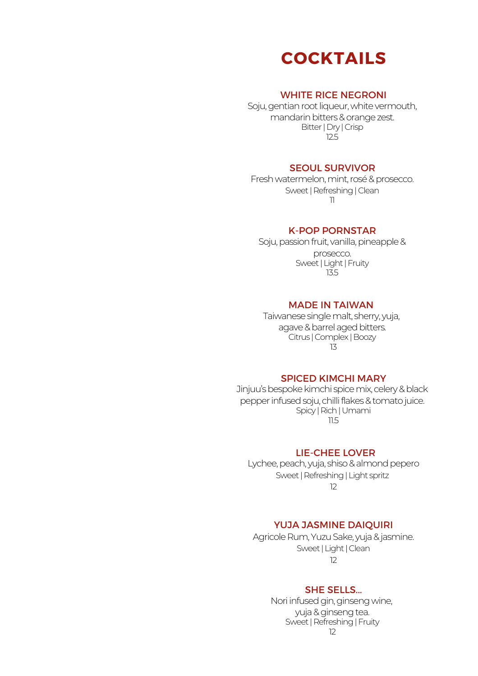

### WHITE RICE NEGRONI

Soju, gentian root liqueur, white vermouth, mandarin bitters & orange zest. Bitter|Dry |Crisp 12.5

### SEOUL SURVIVOR

Fresh watermelon, mint, rosé & prosecco. Sweet | Refreshing | Clean 11

#### K-POP PORNSTAR

Soju, passion fruit, vanilla, pineapple & prosecco. Sweet | Light | Fruity 13.5

### MADE IN TAIWAN

Taiwanese single malt, sherry, yuja, agave & barrel aged bitters. Citrus |Complex |Boozy 13

### SPICED KIMCHI MARY

Jinjuu's bespoke kimchi spice mix, celery & black pepper infused soju, chilli flakes & tomato juice. Spicy |Rich|Umami 11.5

### LIE-CHEE LOVER

Lychee, peach, yuja, shiso & almond pepero Sweet | Refreshing | Light spritz 12

### YUJA JASMINE DAIQUIRI

Agricole Rum, Yuzu Sake, yuja & jasmine. Sweet | Light | Clean 12

### SHE SELLS...

Nori infused gin, ginseng wine, yuja & ginseng tea. Sweet | Refreshing | Fruity 12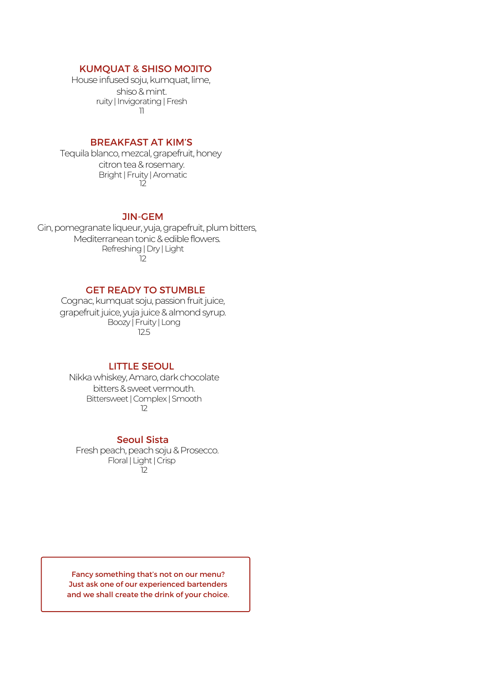### KUMQUAT & SHISO MOJITO

House infused soju, kumquat, lime, shiso&mint. ruity | Invigorating | Fresh 11

### BREAKFAST AT KIM'S

Tequila blanco, mezcal, grapefruit, honey citron tea & rosemary. Bright|Fruity |Aromatic 12

### JIN-GEM

Gin, pomegranate liqueur, yuja, grapefruit, plum bitters, Mediterranean tonic & edible flowers. Refreshing|Dry |Light 12

### GET READY TO STUMBLE

Cognac, kumquat soju, passion fruit juice, grapefruit juice, yuja juice & almond syrup. Boozy |Fruity |Long 12.5

### LITTLE SEOUL

Nikkawhiskey,Amaro,darkchocolate bitters&sweet vermouth. Bittersweet|Complex |Smooth 12

### Seoul Sista

Fresh peach, peach soju & Prosecco. Floral|Light|Crisp  $\overline{1}2$ 

Fancy something that's not on our menu? Just ask one of our experienced bartenders and we shall create the drink of your choice.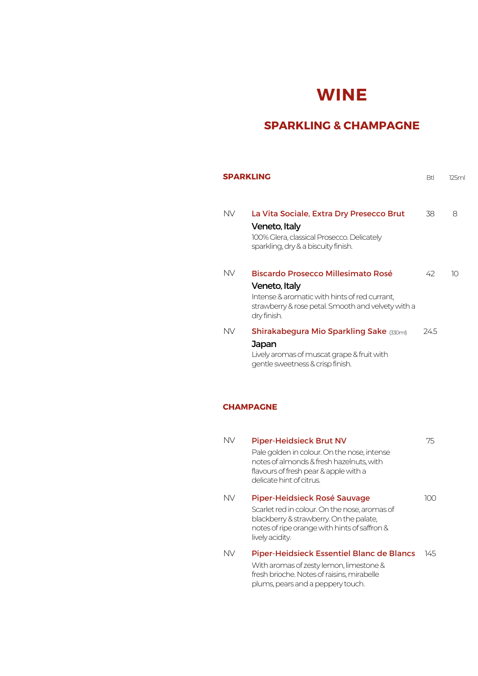# **WINE**

### **SPARKLING & CHAMPAGNE**

|           | <b>SPARKLING</b>                                                                                                                                                          | <b>Btl</b> | 125ml |
|-----------|---------------------------------------------------------------------------------------------------------------------------------------------------------------------------|------------|-------|
| NV.       | La Vita Sociale, Extra Dry Presecco Brut<br>Veneto, Italy<br>100% Glera, classical Prosecco. Delicately<br>sparkling, dry & a biscuity finish.                            | 38         | 8     |
| <b>NV</b> | Biscardo Prosecco Millesimato Rosé<br>Veneto, Italy<br>Intense & aromatic with hints of red currant.<br>strawberry & rose petal. Smooth and velvety with a<br>dry finish. | 42         | 10    |
| NV.       | Shirakabegura Mio Sparkling Sake (330ml)<br>Japan<br>Lively aromas of muscat grape & fruit with<br>gentle sweetness & crisp finish.                                       | 245        |       |
|           | <b>CHAMPAGNE</b>                                                                                                                                                          |            |       |
| <b>NV</b> | <b>Piper-Heidsieck Brut NV</b>                                                                                                                                            | 75         |       |

| IN V | Piper-Heidsleck Brut NV                                                                                                                                      | 75    |
|------|--------------------------------------------------------------------------------------------------------------------------------------------------------------|-------|
|      | Pale golden in colour. On the nose, intense<br>notes of almonds & fresh hazelnuts, with<br>flavours of fresh pear & apple with a<br>delicate hint of citrus. |       |
| NV   | Piper-Heidsieck Rosé Sauvage                                                                                                                                 | (()() |
|      | Scarlet red in colour. On the nose, aromas of                                                                                                                |       |
|      | blackberry & strawberry. On the palate,                                                                                                                      |       |
|      | notes of ripe orange with hints of saffron &<br>lively acidity.                                                                                              |       |
| NV   | Piper-Heidsieck Essentiel Blanc de Blancs                                                                                                                    | 145.  |
|      | With aromas of zesty lemon, limestone &                                                                                                                      |       |
|      | fresh brioche. Notes of raisins, mirabelle                                                                                                                   |       |
|      | plums, pears and a peppery touch.                                                                                                                            |       |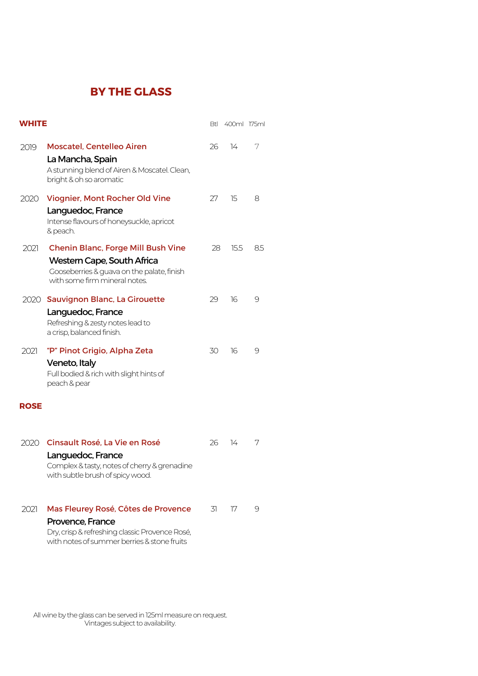## **BY THE GLASS**

| <b>WHITE</b> |                                                                                                                                                          | Btl | 400ml 175ml   |    |
|--------------|----------------------------------------------------------------------------------------------------------------------------------------------------------|-----|---------------|----|
| 2019         | <b>Moscatel, Centelleo Airen</b><br>La Mancha, Spain<br>A stunning blend of Airen & Moscatel. Clean,<br>bright & oh so aromatic                          | 26  | $\frac{1}{4}$ | 7  |
| 2020         | Viognier, Mont Rocher Old Vine<br>Languedoc, France<br>Intense flavours of honeysuckle, apricot<br>& peach.                                              | 27  | 15            | 8  |
| 2021         | <b>Chenin Blanc, Forge Mill Bush Vine</b><br>Western Cape, South Africa<br>Gooseberries & guava on the palate, finish<br>with some firm mineral notes.   | 28  | 15.5          | 85 |
|              | 2020 Sauvignon Blanc, La Girouette<br>Languedoc, France<br>Refreshing & zesty notes lead to<br>a crisp, balanced finish.                                 | 29  | 16            | 9  |
| 2021         | "P" Pinot Grigio, Alpha Zeta<br>Veneto, Italy<br>Full bodied & rich with slight hints of<br>peach & pear                                                 | 30  | 16            | 9  |
| <b>ROSE</b>  |                                                                                                                                                          |     |               |    |
|              | 2020 Cinsault Rosé, La Vie en Rosé<br>Languedoc, France<br>Complex & tasty, notes of cherry & grenadine<br>with subtle brush of spicy wood.              | 26  | $\frac{1}{4}$ | 7  |
| 2021         | Mas Fleurey Rosé, Côtes de Provence<br>Provence, France<br>Dry, crisp & refreshing classic Provence Rosé,<br>with notes of summer berries & stone fruits | 31  | 17            | 9  |

All wine by the glass can be served in 125ml measure on request. Vintages subject to availability.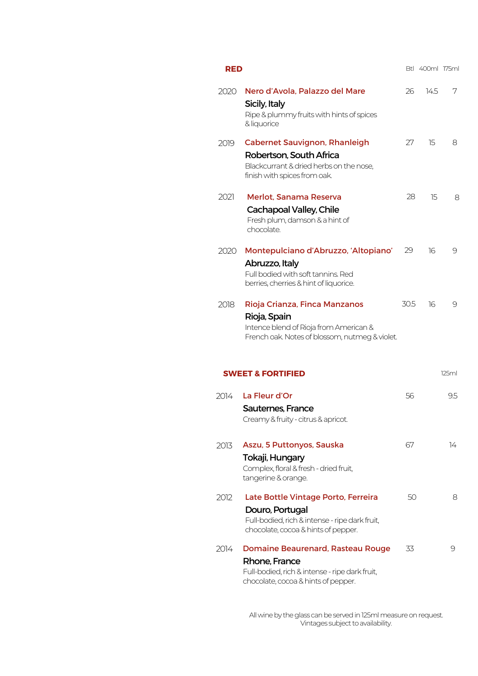| RED  |                                                                                                                                                    |      | Btl 400ml 175ml |       |
|------|----------------------------------------------------------------------------------------------------------------------------------------------------|------|-----------------|-------|
| 2020 | Nero d'Avola, Palazzo del Mare<br>Sicily, Italy<br>Ripe & plummy fruits with hints of spices<br>& liquorice                                        | 26   | 14.5            | 7     |
| 2019 | <b>Cabernet Sauvignon, Rhanleigh</b><br>Robertson, South Africa<br>Blackcurrant & dried herbs on the nose,<br>finish with spices from oak.         | 27   | 15              | 8     |
| 2021 | Merlot, Sanama Reserva<br>Cachapoal Valley, Chile<br>Fresh plum, damson & a hint of<br>chocolate.                                                  | 28   | 15              | 8     |
| 2020 | Montepulciano d'Abruzzo, 'Altopiano'<br>Abruzzo, Italy<br>Full bodied with soft tannins. Red<br>berries, cherries & hint of liquorice.             | 29   | 16              | 9     |
| 2018 | Rioja Crianza, Finca Manzanos<br>Rioja, Spain<br>Intence blend of Rioja from American &<br>French oak. Notes of blossom, nutmeg & violet.          | 30.5 | 16              | 9     |
|      | <b>SWEET &amp; FORTIFIED</b>                                                                                                                       |      |                 | 125ml |
| 2014 | La Fleur d'Or<br><b>Sauternes, France</b><br>Creamy & fruity - citrus & apricot.                                                                   | 56   |                 | 9.5   |
| 2013 | Aszu, 5 Puttonyos, Sauska<br>Tokaji, Hungary<br>Complex, floral & fresh - dried fruit,<br>tangerine & orange.                                      | 67   |                 | 14    |
| 2012 | Late Bottle Vintage Porto, Ferreira<br>Douro, Portugal<br>Full-bodied, rich & intense - ripe dark fruit,<br>chocolate, cocoa & hints of pepper.    | 50   |                 | 8     |
| 2014 | <b>Domaine Beaurenard, Rasteau Rouge</b><br>Rhone, France<br>Full-bodied, rich & intense - ripe dark fruit,<br>chocolate, cocoa & hints of pepper. | 33   |                 | 9     |

All wine by the glass can be served in 125ml measure on request. Vintages subject to availability.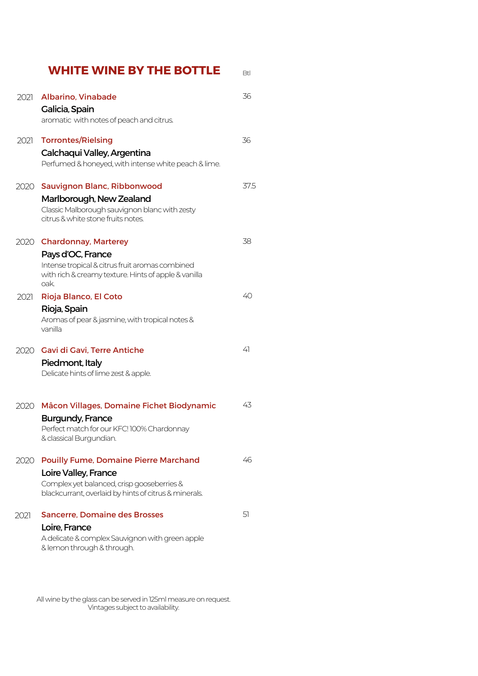|      | <b>WHITE WINE BY THE BOTTLE</b>                                                                                                                                             | Btl  |
|------|-----------------------------------------------------------------------------------------------------------------------------------------------------------------------------|------|
| 2021 | Albarino, Vinabade<br>Galicia, Spain<br>aromatic with notes of peach and citrus.                                                                                            | 36   |
| 2021 | <b>Torrontes/Rielsing</b><br>Calchaqui Valley, Argentina<br>Perfumed & honeyed, with intense white peach & lime.                                                            | 36   |
|      | 2020 Sauvignon Blanc, Ribbonwood<br>Marlborough, New Zealand<br>Classic Malborough sauvignon blanc with zesty<br>citrus & white stone fruits notes.                         | 37.5 |
|      | 2020 Chardonnay, Marterey<br>Pays d'OC, France<br>Intense tropical & citrus fruit aromas combined<br>with rich & creamy texture. Hints of apple & vanilla<br>oak.           | 38   |
| 2021 | Rioja Blanco, El Coto<br>Rioja, Spain<br>Aromas of pear & jasmine, with tropical notes &<br>vanilla                                                                         | 40   |
|      | 2020 Gavi di Gavi, Terre Antiche<br>Piedmont, Italy<br>Delicate hints of lime zest & apple.                                                                                 | 41   |
| 2020 | Mâcon Villages, Domaine Fichet Biodynamic<br><b>Burgundy, France</b><br>Perfect match for our KFC! 100% Chardonnay<br>& classical Burgundian.                               | 43   |
| 2020 | <b>Pouilly Fume, Domaine Pierre Marchand</b><br>Loire Valley, France<br>Complex yet balanced, crisp gooseberries &<br>blackcurrant, overlaid by hints of citrus & minerals. | 46   |
| 2021 | <b>Sancerre, Domaine des Brosses</b><br>Loire, France<br>A delicate & complex Sauvignon with green apple<br>& lemon through & through.                                      | 51   |

All wine by the glass can be served in 125ml measure on request. Vintages subject to availability.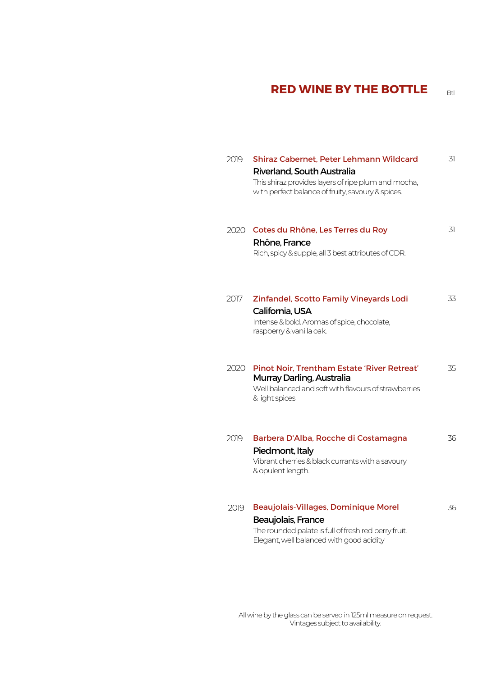# **RED WINE BY THE BOTTLE**

| 2019 | Shiraz Cabernet, Peter Lehmann Wildcard<br>Riverland, South Australia<br>This shiraz provides layers of ripe plum and mocha,<br>with perfect balance of fruity, savoury & spices. | 31 |
|------|-----------------------------------------------------------------------------------------------------------------------------------------------------------------------------------|----|
| 2020 | Cotes du Rhône, Les Terres du Roy<br>Rhône, France<br>Rich, spicy & supple, all 3 best attributes of CDR.                                                                         | 31 |
| 2017 | Zinfandel, Scotto Family Vineyards Lodi<br>California, USA<br>Intense & bold. Aromas of spice, chocolate,<br>raspberry & vanilla oak.                                             | 33 |
| 2020 | Pinot Noir, Trentham Estate 'River Retreat'<br>Murray Darling, Australia<br>Well balanced and soft with flavours of strawberries<br>& light spices                                | 35 |
| 2019 | Barbera D'Alba, Rocche di Costamagna<br>Piedmont, Italy<br>Vibrant cherries & black currants with a savoury<br>& opulent length.                                                  | 36 |
| 2019 | Beaujolais-Villages, Dominique Morel<br>Beaujolais, France<br>The rounded palate is full of fresh red berry fruit.<br>Elegant, well balanced with good acidity                    | 36 |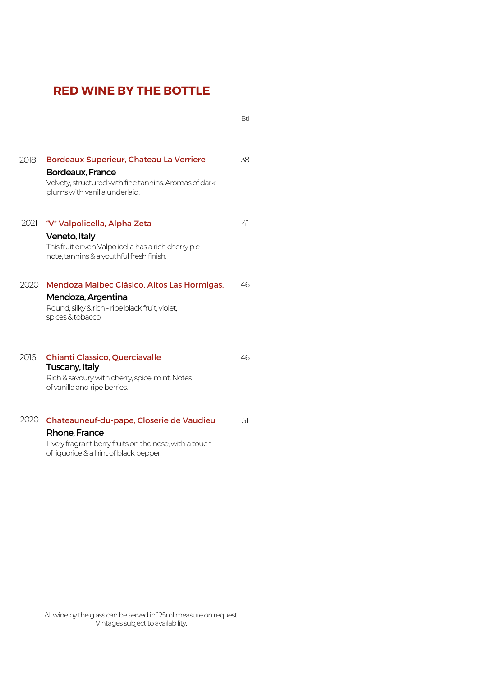# **RED WINE BY THE BOTTLE**

Btl

| 2018 | <b>Bordeaux Superieur, Chateau La Verriere</b><br>Bordeaux, France<br>Velvety, structured with fine tannins. Aromas of dark<br>plums with vanilla underlaid.  | 38. |
|------|---------------------------------------------------------------------------------------------------------------------------------------------------------------|-----|
| 2021 | "V" Valpolicella, Alpha Zeta<br>Veneto, Italy<br>This fruit driven Valpolicella has a rich cherry pie<br>note, tannins & a youthful fresh finish.             | 41  |
| 2020 | Mendoza Malbec Clásico, Altos Las Hormigas,<br>Mendoza, Argentina<br>Round, silky & rich - ripe black fruit, violet,<br>spices & tobacco.                     | 46  |
| 2016 | <b>Chianti Classico, Querciavalle</b><br>Tuscany, Italy<br>Rich & savoury with cherry, spice, mint. Notes<br>of vanilla and ripe berries.                     | 46  |
| 2020 | Chateauneuf-du-pape, Closerie de Vaudieu<br>Rhone, France<br>Lively fragrant berry fruits on the nose, with a touch<br>of liquorice & a hint of black pepper. | 51  |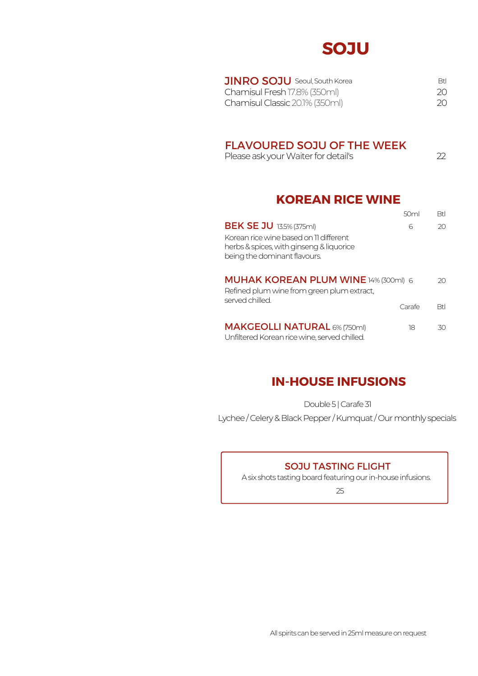# **SOJU**

| <b>JINRO SOJU</b> Seoul, South Korea | RtI. |
|--------------------------------------|------|
| Chamisul Fresh 17.8% (350ml)         | 20.  |
| Chamisul Classic 20.1% (350ml)       | 20.  |

### FLAVOURED SOJU OF THE WEEK

Please ask your Waiter for detail's 22

# **KOREAN RICE WINE**

|                                                                                                                    | 50ml   | <b>Btl</b> |
|--------------------------------------------------------------------------------------------------------------------|--------|------------|
| <b>BEK SE JU 13.5% (375ml)</b>                                                                                     | 6      | 20         |
| Korean rice wine based on 11 different<br>herbs & spices, with ginseng & liquorice<br>being the dominant flavours. |        |            |
| <b>MUHAK KOREAN PLUM WINE 14% (300ml) 6</b><br>Refined plum wine from green plum extract,<br>served chilled        |        | 20.        |
|                                                                                                                    | Carafe | Rtl        |
| <b>MAKGEOLLI NATURAL 6% (750ml)</b><br>Unfiltered Korean rice wine, served chilled.                                | 18     | 30         |

# **IN-HOUSE INFUSIONS**

Double 5 | Carafe 31

Lychee/Celery & Black Pepper/Kumquat/Our monthly specials

### SOJU TASTING FLIGHT

A six shots tasting board featuring our in-house infusions.

25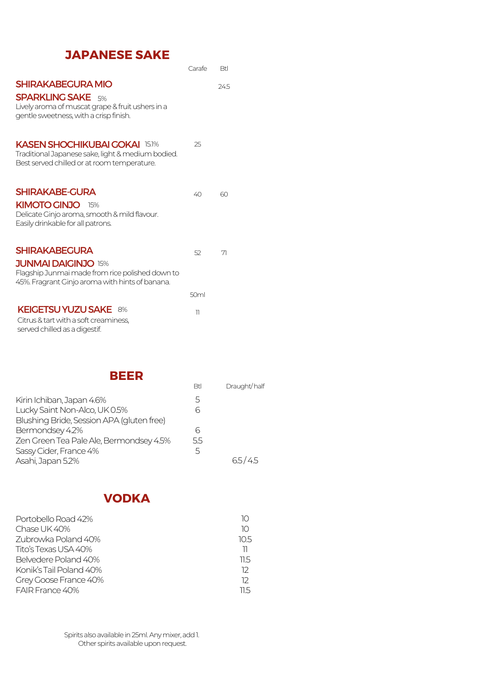# **JAPANESE SAKE**

|                                                                                                                                                    | Carafe                   | <b>Btl</b>               |
|----------------------------------------------------------------------------------------------------------------------------------------------------|--------------------------|--------------------------|
| <b>SHIRAKABEGURA MIO</b><br><b>SPARKLING SAKE</b> 5%<br>Lively aroma of muscat grape & fruit ushers in a<br>gentle sweetness, with a crisp finish. |                          | 245                      |
| <b>KASEN SHOCHIKUBAI GOKAI 15.1%</b><br>Traditional Japanese sake, light & medium bodied.<br>Best served chilled or at room temperature.           | 25                       |                          |
| <b>SHIRAKABE-GURA</b>                                                                                                                              | 40                       | 60                       |
| <b>KIMOTO GINJO 15%</b><br>Delicate Ginjo aroma, smooth & mild flavour.<br>Easily drinkable for all patrons.                                       |                          |                          |
| <b>SHIRAKABEGURA</b>                                                                                                                               | 52                       | $\overline{\mathcal{L}}$ |
| <b>JUNMAI DAIGINJO 15%</b><br>Flagship Junmai made from rice polished down to<br>45%. Fragrant Ginjo aroma with hints of banana.                   |                          |                          |
|                                                                                                                                                    | 50ml                     |                          |
| <b>KEIGETSU YUZU SAKE 8%</b><br>Citrus & tart with a soft creaminess,<br>served chilled as a digestif.                                             | $\overline{\phantom{a}}$ |                          |

**BEER**

|                                           | Btl | Draught/half |
|-------------------------------------------|-----|--------------|
| Kirin Ichiban, Japan 4.6%                 | 5   |              |
| Lucky Saint Non-Alco, UK 0.5%             | 6   |              |
| Blushing Bride, Session APA (gluten free) |     |              |
| Bermondsey 4.2%                           | 6   |              |
| Zen Green Tea Pale Ale, Bermondsey 4.5%   | 55  |              |
| Sassy Cider, France 4%                    | 5   |              |
| Asahi, Japan 5.2%                         |     | 65/45        |

# **VODKA**

| Portobello Road 42%     |      |
|-------------------------|------|
| Chase UK 40%            | 10   |
| 7ubrowka Poland 40%     | 10.5 |
| Tito's Texas USA 40%    | 11   |
| Belvedere Poland 40%    | 11 5 |
| Konik's Tail Poland 40% | 12   |
| Grey Goose France 40%   | 12   |
| FAIR France 40%         | 11 5 |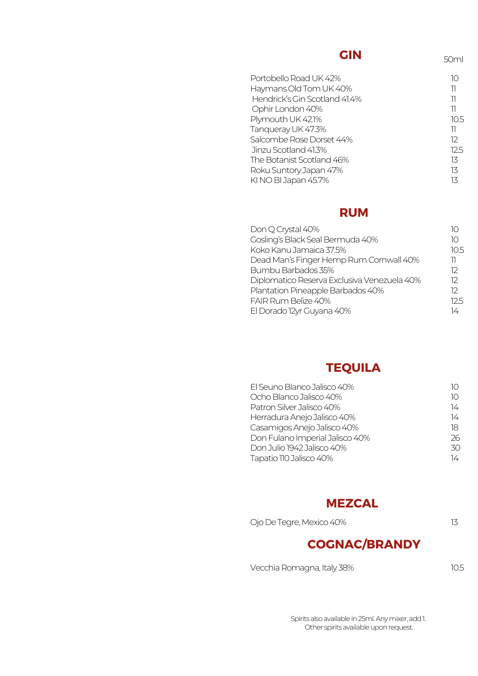## **GIN**

50ml

| Portobello Road UK 42%        | IC   |
|-------------------------------|------|
| Haymans Old Tom UK 40%        | וו   |
| Hendrick's Gin Scotland 41.4% | ור   |
| Ophir London 40%              | 11   |
| Plymouth UK 42.1%             | 10.5 |
| Tanqueray UK 47.3%            | וו   |
| Salcombe Rose Dorset 44%      | 12   |
| Jinzu Scotland 41.3%          | 12.5 |
| The Botanist Scotland 46%     | 13   |
| Roku Suntory Japan 47%        | 13   |
| KI NO BI Japan 45.7%          | 13   |
|                               |      |

### **RUM**

| Don Q Crystal 40%                           |      |
|---------------------------------------------|------|
| Gosling's Black Seal Bermuda 40%            | 10   |
| Koko Kanu Jamaica 37.5%                     | 10.5 |
| Dead Man's Finger Hemp Rum Cornwall 40%     | 11   |
| Bumbu Barbados 35%                          | 12   |
| Diplomatico Reserva Exclusiva Venezuela 40% | 12   |
| Plantation Pineapple Barbados 40%           | 12   |
| FAIR Rum Belize 40%                         | 125  |
| El Dorado 12yr Guyana 40%                   | 14   |

# **TEQUILA**

| El Seuno Blanco Jalisco 40%     |    |
|---------------------------------|----|
| Ocho Blanco Jalisco 40%         | 10 |
| Patron Silver Jalisco 40%       | 14 |
| Herradura Anejo Jalisco 40%     | 14 |
| Casamigos Anejo Jalisco 40%     | 18 |
| Don Fulano Imperial Jalisco 40% | 26 |
| Don Julio 1942 Jalisco 40%      | 30 |
| Tapatio 110 Jalisco 40%         | 14 |

### **MEZCAL**

| Ojo De Tegre, Mexico 40% |  |
|--------------------------|--|
|--------------------------|--|

# **COGNAC/BRANDY**

Vecchia Romagna, Italy 38% 10.5

Spirits also available in 25ml. Any mixer, add 1. Other spirits available upon request.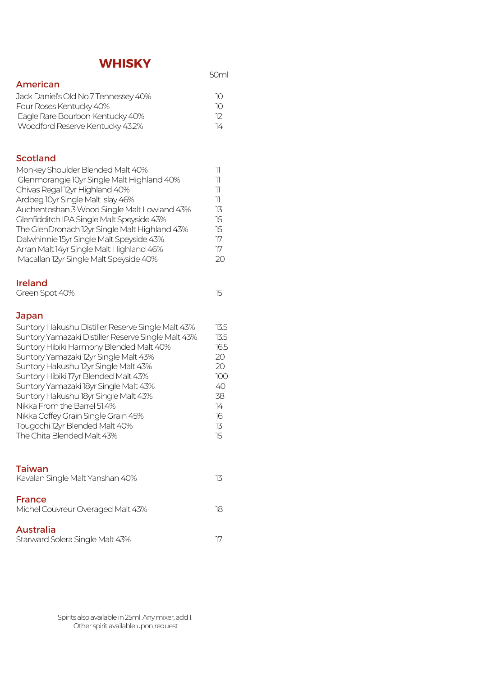# **WHISKY**

| .                                                                                                                                                                                                                                                                                                                                                                                                                                                                                                           | 50ml                                                                                     |
|-------------------------------------------------------------------------------------------------------------------------------------------------------------------------------------------------------------------------------------------------------------------------------------------------------------------------------------------------------------------------------------------------------------------------------------------------------------------------------------------------------------|------------------------------------------------------------------------------------------|
| <b>American</b><br>Jack Daniel's Old No.7 Tennessey 40%<br>Four Roses Kentucky 40%<br>Eagle Rare Bourbon Kentucky 40%<br>Woodford Reserve Kentucky 43.2%                                                                                                                                                                                                                                                                                                                                                    | 10<br>10<br>12<br>14                                                                     |
| <b>Scotland</b><br>Monkey Shoulder Blended Malt 40%<br>Glenmorangie 10yr Single Malt Highland 40%<br>Chivas Regal 12yr Highland 40%<br>Ardbeg 10yr Single Malt Islay 46%<br>Auchentoshan 3 Wood Single Malt Lowland 43%<br>Glenfidditch IPA Single Malt Speyside 43%<br>The GlenDronach 12yr Single Malt Highland 43%<br>Dalwhinnie 15yr Single Malt Speyside 43%<br>Arran Malt 14yr Single Malt Highland 46%<br>Macallan 12yr Single Malt Speyside 40%                                                     | 11<br>11<br>11<br>$\overline{\mathcal{V}}$<br>13<br>15<br>15<br>17<br>$17\,$<br>20       |
| <b>Ireland</b><br>Green Spot 40%                                                                                                                                                                                                                                                                                                                                                                                                                                                                            | 15                                                                                       |
| Japan<br>Suntory Hakushu Distiller Reserve Single Malt 43%<br>Suntory Yamazaki Distiller Reserve Single Malt 43%<br>Suntory Hibiki Harmony Blended Malt 40%<br>Suntory Yamazaki 12yr Single Malt 43%<br>Suntory Hakushu 12yr Single Malt 43%<br>Suntory Hibiki 17yr Blended Malt 43%<br>Suntory Yamazaki 18yr Single Malt 43%<br>Suntory Hakushu 18yr Single Malt 43%<br>Nikka From the Barrel 51.4%<br>Nikka Coffey Grain Single Grain 45%<br>Tougochi 12yr Blended Malt 40%<br>The Chita Blended Malt 43% | 13.5<br>13.5<br>16.5<br>20<br>20<br>100<br>40<br>38<br>$\overline{14}$<br>16<br>13<br>15 |
| <b>Taiwan</b><br>Kavalan Single Malt Yanshan 40%                                                                                                                                                                                                                                                                                                                                                                                                                                                            | 13                                                                                       |
| <b>France</b><br>Michel Couvreur Overaged Malt 43%                                                                                                                                                                                                                                                                                                                                                                                                                                                          | 18                                                                                       |
| <b>Australia</b><br>Starward Solera Single Malt 43%                                                                                                                                                                                                                                                                                                                                                                                                                                                         | 17                                                                                       |

Spirits also available in 25ml. Any mixer, add 1. Other spirit available upon request